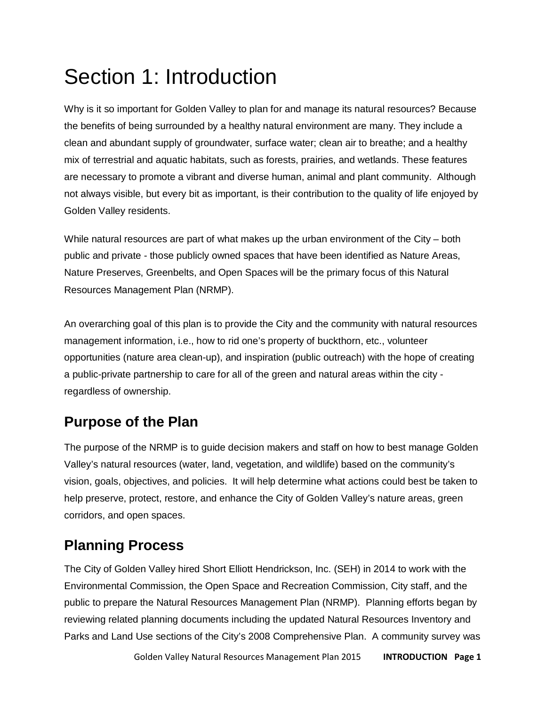# Section 1: Introduction

Why is it so important for Golden Valley to plan for and manage its natural resources? Because the benefits of being surrounded by a healthy natural environment are many. They include a clean and abundant supply of groundwater, surface water; clean air to breathe; and a healthy mix of terrestrial and aquatic habitats, such as forests, prairies, and wetlands. These features are necessary to promote a vibrant and diverse human, animal and plant community. Although not always visible, but every bit as important, is their contribution to the quality of life enjoyed by Golden Valley residents.

While natural resources are part of what makes up the urban environment of the City – both public and private - those publicly owned spaces that have been identified as Nature Areas, Nature Preserves, Greenbelts, and Open Spaces will be the primary focus of this Natural Resources Management Plan (NRMP).

An overarching goal of this plan is to provide the City and the community with natural resources management information, i.e., how to rid one's property of buckthorn, etc., volunteer opportunities (nature area clean-up), and inspiration (public outreach) with the hope of creating a public-private partnership to care for all of the green and natural areas within the city regardless of ownership.

# **Purpose of the Plan**

The purpose of the NRMP is to guide decision makers and staff on how to best manage Golden Valley's natural resources (water, land, vegetation, and wildlife) based on the community's vision, goals, objectives, and policies. It will help determine what actions could best be taken to help preserve, protect, restore, and enhance the City of Golden Valley's nature areas, green corridors, and open spaces.

# **Planning Process**

The City of Golden Valley hired Short Elliott Hendrickson, Inc. (SEH) in 2014 to work with the Environmental Commission, the Open Space and Recreation Commission, City staff, and the public to prepare the Natural Resources Management Plan (NRMP). Planning efforts began by reviewing related planning documents including the updated Natural Resources Inventory and Parks and Land Use sections of the City's 2008 Comprehensive Plan. A community survey was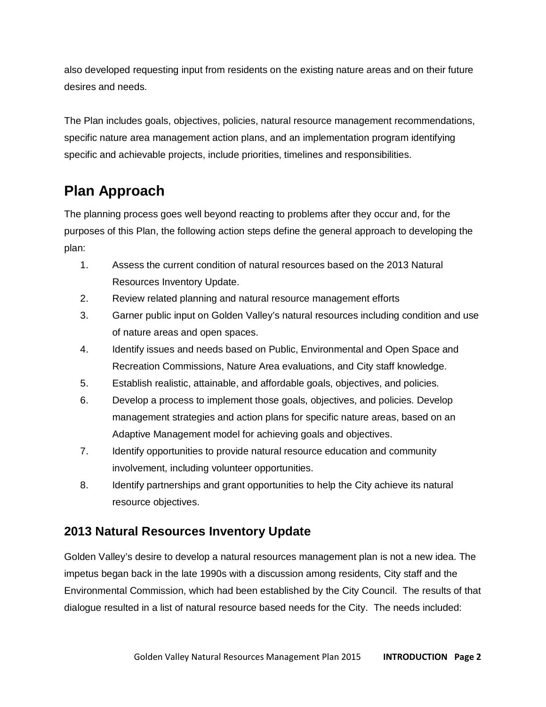also developed requesting input from residents on the existing nature areas and on their future desires and needs.

The Plan includes goals, objectives, policies, natural resource management recommendations, specific nature area management action plans, and an implementation program identifying specific and achievable projects, include priorities, timelines and responsibilities.

# **Plan Approach**

The planning process goes well beyond reacting to problems after they occur and, for the purposes of this Plan, the following action steps define the general approach to developing the plan:

- 1. Assess the current condition of natural resources based on the 2013 Natural Resources Inventory Update.
- 2. Review related planning and natural resource management efforts
- 3. Garner public input on Golden Valley's natural resources including condition and use of nature areas and open spaces.
- 4. Identify issues and needs based on Public, Environmental and Open Space and Recreation Commissions, Nature Area evaluations, and City staff knowledge.
- 5. Establish realistic, attainable, and affordable goals, objectives, and policies.
- 6. Develop a process to implement those goals, objectives, and policies. Develop management strategies and action plans for specific nature areas, based on an Adaptive Management model for achieving goals and objectives.
- 7. Identify opportunities to provide natural resource education and community involvement, including volunteer opportunities.
- 8. Identify partnerships and grant opportunities to help the City achieve its natural resource objectives.

### **2013 Natural Resources Inventory Update**

Golden Valley's desire to develop a natural resources management plan is not a new idea. The impetus began back in the late 1990s with a discussion among residents, City staff and the Environmental Commission, which had been established by the City Council. The results of that dialogue resulted in a list of natural resource based needs for the City. The needs included: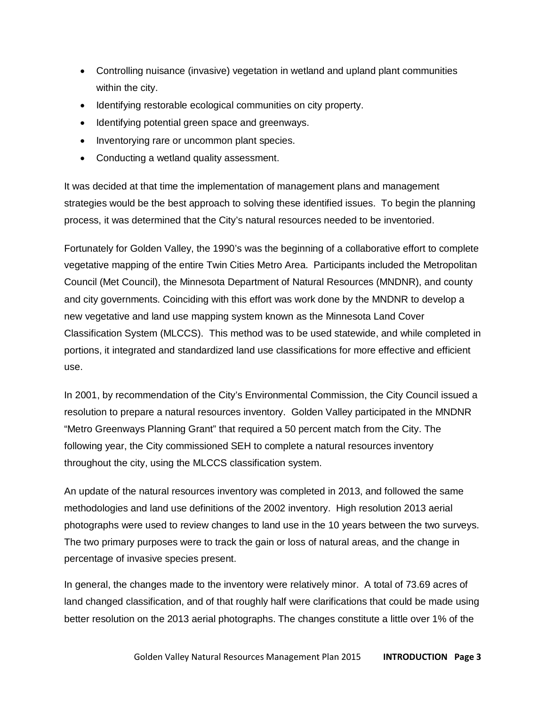- Controlling nuisance (invasive) vegetation in wetland and upland plant communities within the city.
- Identifying restorable ecological communities on city property.
- Identifying potential green space and greenways.
- Inventorying rare or uncommon plant species.
- Conducting a wetland quality assessment.

It was decided at that time the implementation of management plans and management strategies would be the best approach to solving these identified issues. To begin the planning process, it was determined that the City's natural resources needed to be inventoried.

Fortunately for Golden Valley, the 1990's was the beginning of a collaborative effort to complete vegetative mapping of the entire Twin Cities Metro Area. Participants included the Metropolitan Council (Met Council), the Minnesota Department of Natural Resources (MNDNR), and county and city governments. Coinciding with this effort was work done by the MNDNR to develop a new vegetative and land use mapping system known as the Minnesota Land Cover Classification System (MLCCS). This method was to be used statewide, and while completed in portions, it integrated and standardized land use classifications for more effective and efficient use.

In 2001, by recommendation of the City's Environmental Commission, the City Council issued a resolution to prepare a natural resources inventory. Golden Valley participated in the MNDNR "Metro Greenways Planning Grant" that required a 50 percent match from the City. The following year, the City commissioned SEH to complete a natural resources inventory throughout the city, using the MLCCS classification system.

An update of the natural resources inventory was completed in 2013, and followed the same methodologies and land use definitions of the 2002 inventory. High resolution 2013 aerial photographs were used to review changes to land use in the 10 years between the two surveys. The two primary purposes were to track the gain or loss of natural areas, and the change in percentage of invasive species present.

In general, the changes made to the inventory were relatively minor. A total of 73.69 acres of land changed classification, and of that roughly half were clarifications that could be made using better resolution on the 2013 aerial photographs. The changes constitute a little over 1% of the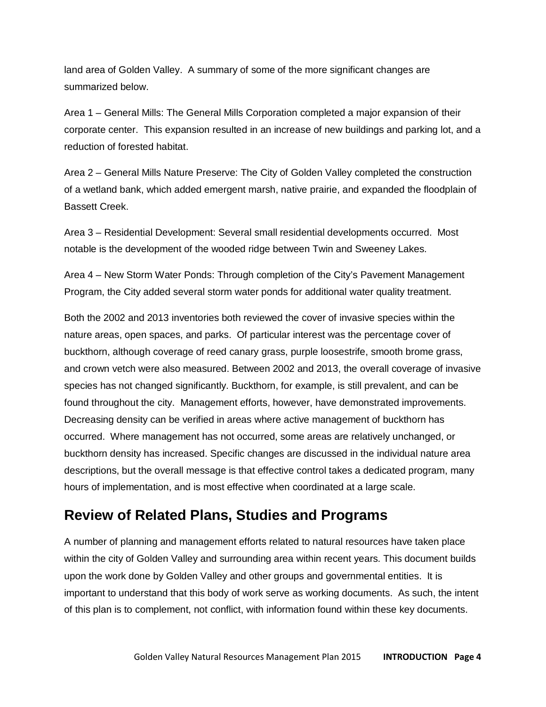land area of Golden Valley. A summary of some of the more significant changes are summarized below.

Area 1 – General Mills: The General Mills Corporation completed a major expansion of their corporate center. This expansion resulted in an increase of new buildings and parking lot, and a reduction of forested habitat.

Area 2 – General Mills Nature Preserve: The City of Golden Valley completed the construction of a wetland bank, which added emergent marsh, native prairie, and expanded the floodplain of Bassett Creek.

Area 3 – Residential Development: Several small residential developments occurred. Most notable is the development of the wooded ridge between Twin and Sweeney Lakes.

Area 4 – New Storm Water Ponds: Through completion of the City's Pavement Management Program, the City added several storm water ponds for additional water quality treatment.

Both the 2002 and 2013 inventories both reviewed the cover of invasive species within the nature areas, open spaces, and parks. Of particular interest was the percentage cover of buckthorn, although coverage of reed canary grass, purple loosestrife, smooth brome grass, and crown vetch were also measured. Between 2002 and 2013, the overall coverage of invasive species has not changed significantly. Buckthorn, for example, is still prevalent, and can be found throughout the city. Management efforts, however, have demonstrated improvements. Decreasing density can be verified in areas where active management of buckthorn has occurred. Where management has not occurred, some areas are relatively unchanged, or buckthorn density has increased. Specific changes are discussed in the individual nature area descriptions, but the overall message is that effective control takes a dedicated program, many hours of implementation, and is most effective when coordinated at a large scale.

### **Review of Related Plans, Studies and Programs**

A number of planning and management efforts related to natural resources have taken place within the city of Golden Valley and surrounding area within recent years. This document builds upon the work done by Golden Valley and other groups and governmental entities. It is important to understand that this body of work serve as working documents. As such, the intent of this plan is to complement, not conflict, with information found within these key documents.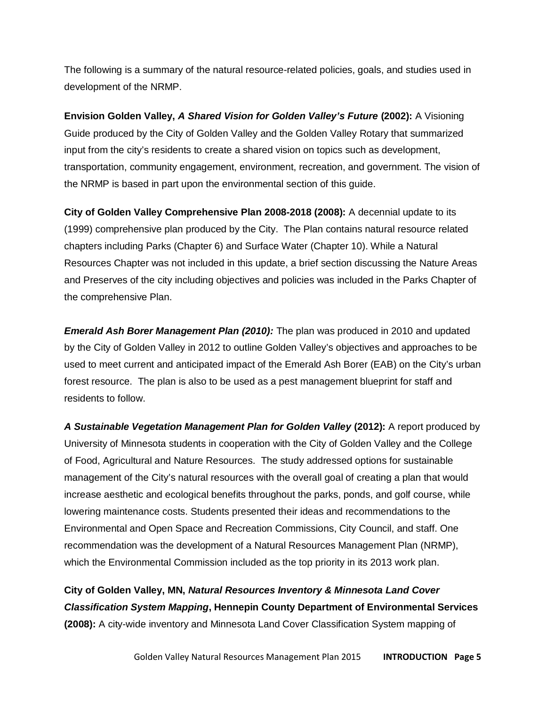The following is a summary of the natural resource-related policies, goals, and studies used in development of the NRMP.

**Envision Golden Valley,** *A Shared Vision for Golden Valley's Future* **(2002):** A Visioning Guide produced by the City of Golden Valley and the Golden Valley Rotary that summarized input from the city's residents to create a shared vision on topics such as development, transportation, community engagement, environment, recreation, and government. The vision of the NRMP is based in part upon the environmental section of this guide.

**City of Golden Valley Comprehensive Plan 2008-2018 (2008):** A decennial update to its (1999) comprehensive plan produced by the City. The Plan contains natural resource related chapters including Parks (Chapter 6) and Surface Water (Chapter 10). While a Natural Resources Chapter was not included in this update, a brief section discussing the Nature Areas and Preserves of the city including objectives and policies was included in the Parks Chapter of the comprehensive Plan.

*Emerald Ash Borer Management Plan (2010):* The plan was produced in 2010 and updated by the City of Golden Valley in 2012 to outline Golden Valley's objectives and approaches to be used to meet current and anticipated impact of the Emerald Ash Borer (EAB) on the City's urban forest resource. The plan is also to be used as a pest management blueprint for staff and residents to follow.

*A Sustainable Vegetation Management Plan for Golden Valley* **(2012):** A report produced by University of Minnesota students in cooperation with the City of Golden Valley and the College of Food, Agricultural and Nature Resources. The study addressed options for sustainable management of the City's natural resources with the overall goal of creating a plan that would increase aesthetic and ecological benefits throughout the parks, ponds, and golf course, while lowering maintenance costs. Students presented their ideas and recommendations to the Environmental and Open Space and Recreation Commissions, City Council, and staff. One recommendation was the development of a Natural Resources Management Plan (NRMP), which the Environmental Commission included as the top priority in its 2013 work plan.

**City of Golden Valley, MN,** *Natural Resources Inventory & Minnesota Land Cover Classification System Mapping***, Hennepin County Department of Environmental Services (2008):** A city-wide inventory and Minnesota Land Cover Classification System mapping of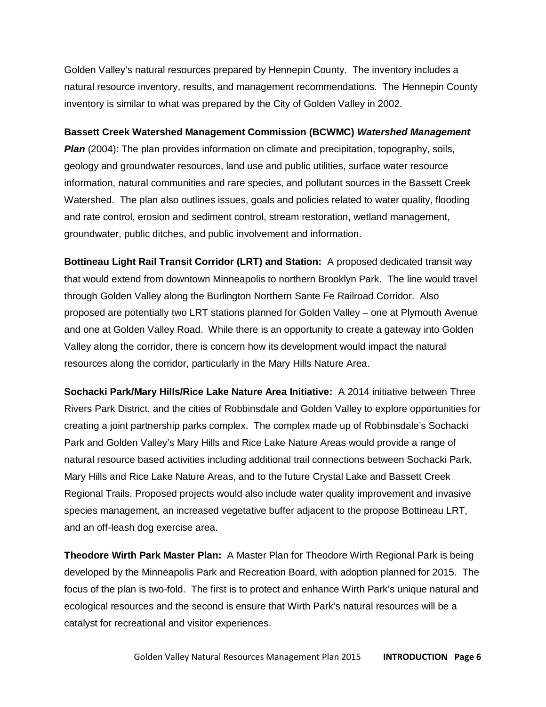Golden Valley's natural resources prepared by Hennepin County. The inventory includes a natural resource inventory, results, and management recommendations. The Hennepin County inventory is similar to what was prepared by the City of Golden Valley in 2002.

#### **Bassett Creek Watershed Management Commission (BCWMC)** *Watershed Management*

*Plan* (2004): The plan provides information on climate and precipitation, topography, soils, geology and groundwater resources, land use and public utilities, surface water resource information, natural communities and rare species, and pollutant sources in the Bassett Creek Watershed. The plan also outlines issues, goals and policies related to water quality, flooding and rate control, erosion and sediment control, stream restoration, wetland management, groundwater, public ditches, and public involvement and information.

**Bottineau Light Rail Transit Corridor (LRT) and Station:** A proposed dedicated transit way that would extend from downtown Minneapolis to northern Brooklyn Park. The line would travel through Golden Valley along the Burlington Northern Sante Fe Railroad Corridor. Also proposed are potentially two LRT stations planned for Golden Valley – one at Plymouth Avenue and one at Golden Valley Road. While there is an opportunity to create a gateway into Golden Valley along the corridor, there is concern how its development would impact the natural resources along the corridor, particularly in the Mary Hills Nature Area.

**Sochacki Park/Mary Hills/Rice Lake Nature Area Initiative:** A 2014 initiative between Three Rivers Park District, and the cities of Robbinsdale and Golden Valley to explore opportunities for creating a joint partnership parks complex. The complex made up of Robbinsdale's Sochacki Park and Golden Valley's Mary Hills and Rice Lake Nature Areas would provide a range of natural resource based activities including additional trail connections between Sochacki Park, Mary Hills and Rice Lake Nature Areas, and to the future Crystal Lake and Bassett Creek Regional Trails. Proposed projects would also include water quality improvement and invasive species management, an increased vegetative buffer adjacent to the propose Bottineau LRT, and an off-leash dog exercise area.

**Theodore Wirth Park Master Plan:** A Master Plan for Theodore Wirth Regional Park is being developed by the Minneapolis Park and Recreation Board, with adoption planned for 2015. The focus of the plan is two-fold. The first is to protect and enhance Wirth Park's unique natural and ecological resources and the second is ensure that Wirth Park's natural resources will be a catalyst for recreational and visitor experiences.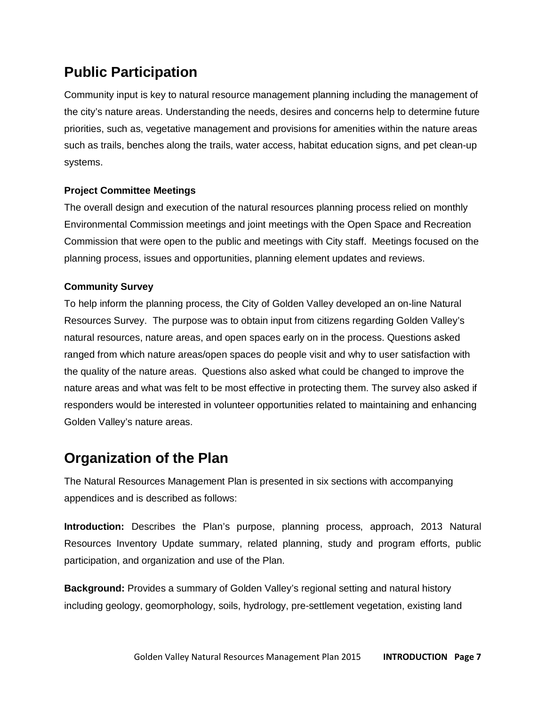# **Public Participation**

Community input is key to natural resource management planning including the management of the city's nature areas. Understanding the needs, desires and concerns help to determine future priorities, such as, vegetative management and provisions for amenities within the nature areas such as trails, benches along the trails, water access, habitat education signs, and pet clean-up systems.

#### **Project Committee Meetings**

The overall design and execution of the natural resources planning process relied on monthly Environmental Commission meetings and joint meetings with the Open Space and Recreation Commission that were open to the public and meetings with City staff. Meetings focused on the planning process, issues and opportunities, planning element updates and reviews.

#### **Community Survey**

To help inform the planning process, the City of Golden Valley developed an on-line Natural Resources Survey. The purpose was to obtain input from citizens regarding Golden Valley's natural resources, nature areas, and open spaces early on in the process. Questions asked ranged from which nature areas/open spaces do people visit and why to user satisfaction with the quality of the nature areas. Questions also asked what could be changed to improve the nature areas and what was felt to be most effective in protecting them. The survey also asked if responders would be interested in volunteer opportunities related to maintaining and enhancing Golden Valley's nature areas.

### **Organization of the Plan**

The Natural Resources Management Plan is presented in six sections with accompanying appendices and is described as follows:

**Introduction:** Describes the Plan's purpose, planning process, approach, 2013 Natural Resources Inventory Update summary, related planning, study and program efforts, public participation, and organization and use of the Plan.

**Background:** Provides a summary of Golden Valley's regional setting and natural history including geology, geomorphology, soils, hydrology, pre-settlement vegetation, existing land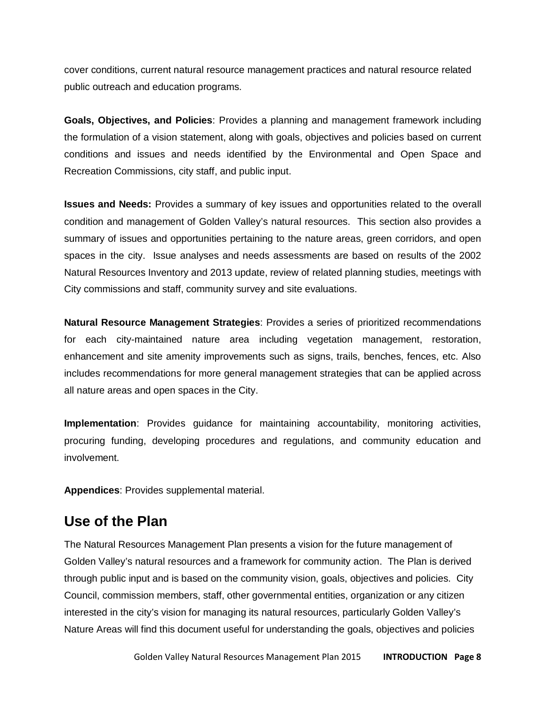cover conditions, current natural resource management practices and natural resource related public outreach and education programs.

**Goals, Objectives, and Policies**: Provides a planning and management framework including the formulation of a vision statement, along with goals, objectives and policies based on current conditions and issues and needs identified by the Environmental and Open Space and Recreation Commissions, city staff, and public input.

**Issues and Needs:** Provides a summary of key issues and opportunities related to the overall condition and management of Golden Valley's natural resources. This section also provides a summary of issues and opportunities pertaining to the nature areas, green corridors, and open spaces in the city. Issue analyses and needs assessments are based on results of the 2002 Natural Resources Inventory and 2013 update, review of related planning studies, meetings with City commissions and staff, community survey and site evaluations.

**Natural Resource Management Strategies**: Provides a series of prioritized recommendations for each city-maintained nature area including vegetation management, restoration, enhancement and site amenity improvements such as signs, trails, benches, fences, etc. Also includes recommendations for more general management strategies that can be applied across all nature areas and open spaces in the City.

**Implementation**: Provides guidance for maintaining accountability, monitoring activities, procuring funding, developing procedures and regulations, and community education and involvement.

**Appendices**: Provides supplemental material.

### **Use of the Plan**

The Natural Resources Management Plan presents a vision for the future management of Golden Valley's natural resources and a framework for community action. The Plan is derived through public input and is based on the community vision, goals, objectives and policies. City Council, commission members, staff, other governmental entities, organization or any citizen interested in the city's vision for managing its natural resources, particularly Golden Valley's Nature Areas will find this document useful for understanding the goals, objectives and policies